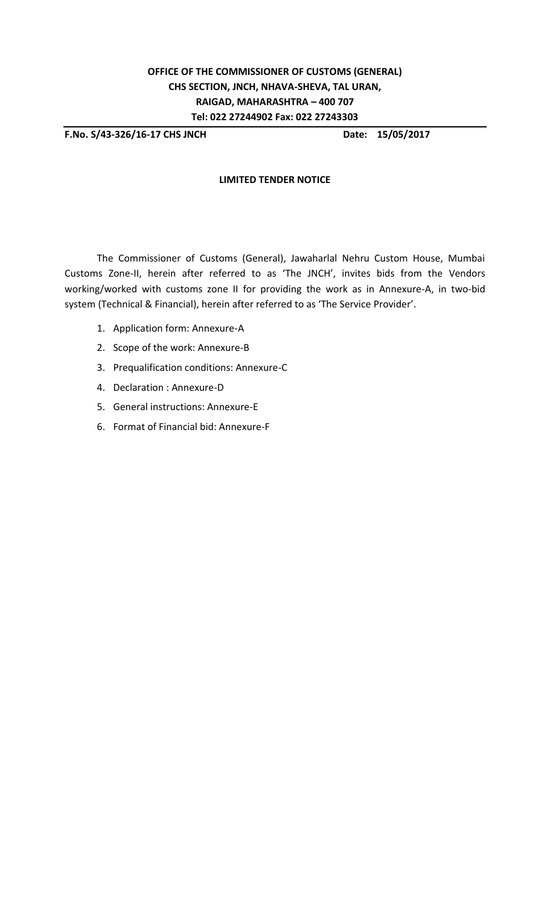**F.No. S/43-326/16-17 CHS JNCH Date: 15/05/2017**

## **LIMITED TENDER NOTICE**

The Commissioner of Customs (General), Jawaharlal Nehru Custom House, Mumbai Customs Zone-II, herein after referred to as 'The JNCH', invites bids from the Vendors working/worked with customs zone II for providing the work as in Annexure-A, in two-bid system (Technical & Financial), herein after referred to as 'The Service Provider'.

- 1. Application form: Annexure-A
- 2. Scope of the work: Annexure-B
- 3. Prequalification conditions: Annexure-C
- 4. Declaration : Annexure-D
- 5. General instructions: Annexure-E
- 6. Format of Financial bid: Annexure-F